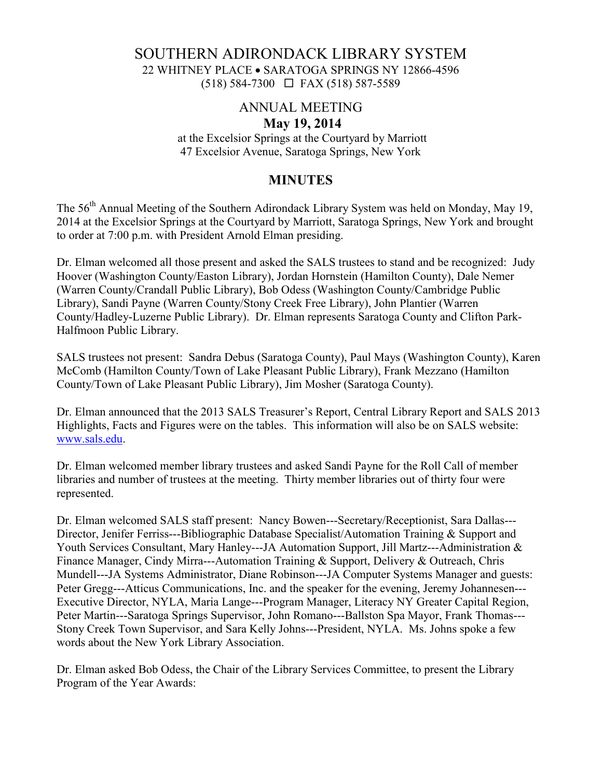### SOUTHERN ADIRONDACK LIBRARY SYSTEM 22 WHITNEY PLACE • SARATOGA SPRINGS NY 12866-4596 (518) 584-7300 FAX (518) 587-5589

# ANNUAL MEETING

#### **May 19, 2014**

 at the Excelsior Springs at the Courtyard by Marriott 47 Excelsior Avenue, Saratoga Springs, New York

## **MINUTES**

The 56<sup>th</sup> Annual Meeting of the Southern Adirondack Library System was held on Monday, May 19, 2014 at the Excelsior Springs at the Courtyard by Marriott, Saratoga Springs, New York and brought to order at 7:00 p.m. with President Arnold Elman presiding.

Dr. Elman welcomed all those present and asked the SALS trustees to stand and be recognized: Judy Hoover (Washington County/Easton Library), Jordan Hornstein (Hamilton County), Dale Nemer (Warren County/Crandall Public Library), Bob Odess (Washington County/Cambridge Public Library), Sandi Payne (Warren County/Stony Creek Free Library), John Plantier (Warren County/Hadley-Luzerne Public Library). Dr. Elman represents Saratoga County and Clifton Park-Halfmoon Public Library.

SALS trustees not present: Sandra Debus (Saratoga County), Paul Mays (Washington County), Karen McComb (Hamilton County/Town of Lake Pleasant Public Library), Frank Mezzano (Hamilton County/Town of Lake Pleasant Public Library), Jim Mosher (Saratoga County).

Dr. Elman announced that the 2013 SALS Treasurer's Report, Central Library Report and SALS 2013 Highlights, Facts and Figures were on the tables. This information will also be on SALS website: www.sals.edu.

Dr. Elman welcomed member library trustees and asked Sandi Payne for the Roll Call of member libraries and number of trustees at the meeting. Thirty member libraries out of thirty four were represented.

Dr. Elman welcomed SALS staff present: Nancy Bowen---Secretary/Receptionist, Sara Dallas--- Director, Jenifer Ferriss---Bibliographic Database Specialist/Automation Training & Support and Youth Services Consultant, Mary Hanley---JA Automation Support, Jill Martz---Administration & Finance Manager, Cindy Mirra---Automation Training & Support, Delivery & Outreach, Chris Mundell---JA Systems Administrator, Diane Robinson---JA Computer Systems Manager and guests: Peter Gregg---Atticus Communications, Inc. and the speaker for the evening, Jeremy Johannesen--- Executive Director, NYLA, Maria Lange---Program Manager, Literacy NY Greater Capital Region, Peter Martin---Saratoga Springs Supervisor, John Romano---Ballston Spa Mayor, Frank Thomas--- Stony Creek Town Supervisor, and Sara Kelly Johns---President, NYLA. Ms. Johns spoke a few words about the New York Library Association.

Dr. Elman asked Bob Odess, the Chair of the Library Services Committee, to present the Library Program of the Year Awards: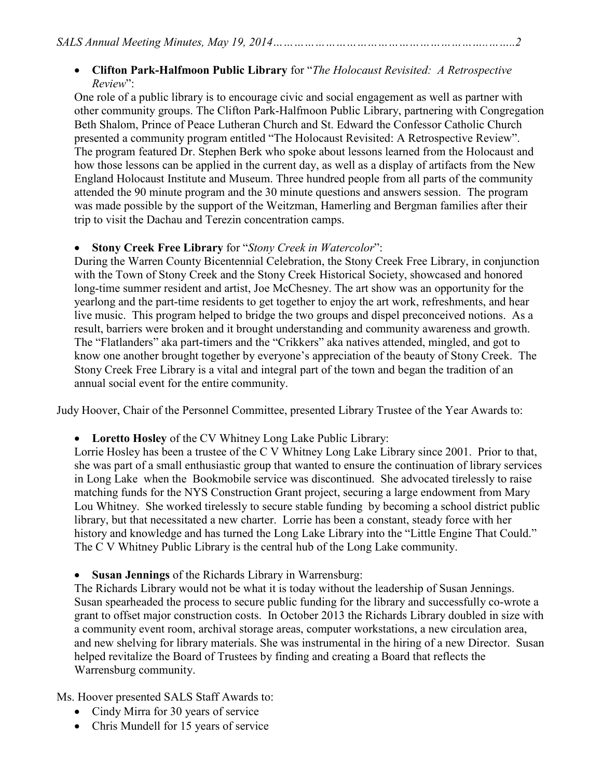### • **Clifton Park-Halfmoon Public Library** for "*The Holocaust Revisited: A Retrospective Review*":

One role of a public library is to encourage civic and social engagement as well as partner with other community groups. The Clifton Park-Halfmoon Public Library, partnering with Congregation Beth Shalom, Prince of Peace Lutheran Church and St. Edward the Confessor Catholic Church presented a community program entitled "The Holocaust Revisited: A Retrospective Review". The program featured Dr. Stephen Berk who spoke about lessons learned from the Holocaust and how those lessons can be applied in the current day, as well as a display of artifacts from the New England Holocaust Institute and Museum. Three hundred people from all parts of the community attended the 90 minute program and the 30 minute questions and answers session. The program was made possible by the support of the Weitzman, Hamerling and Bergman families after their trip to visit the Dachau and Terezin concentration camps.

### • **Stony Creek Free Library** for "*Stony Creek in Watercolor*":

During the Warren County Bicentennial Celebration, the Stony Creek Free Library, in conjunction with the Town of Stony Creek and the Stony Creek Historical Society, showcased and honored long-time summer resident and artist, Joe McChesney. The art show was an opportunity for the yearlong and the part-time residents to get together to enjoy the art work, refreshments, and hear live music. This program helped to bridge the two groups and dispel preconceived notions. As a result, barriers were broken and it brought understanding and community awareness and growth. The "Flatlanders" aka part-timers and the "Crikkers" aka natives attended, mingled, and got to know one another brought together by everyone's appreciation of the beauty of Stony Creek. The Stony Creek Free Library is a vital and integral part of the town and began the tradition of an annual social event for the entire community.

Judy Hoover, Chair of the Personnel Committee, presented Library Trustee of the Year Awards to:

• **Loretto Hosley** of the CV Whitney Long Lake Public Library:

Lorrie Hosley has been a trustee of the C V Whitney Long Lake Library since 2001. Prior to that, she was part of a small enthusiastic group that wanted to ensure the continuation of library services in Long Lake when the Bookmobile service was discontinued. She advocated tirelessly to raise matching funds for the NYS Construction Grant project, securing a large endowment from Mary Lou Whitney. She worked tirelessly to secure stable funding by becoming a school district public library, but that necessitated a new charter. Lorrie has been a constant, steady force with her history and knowledge and has turned the Long Lake Library into the "Little Engine That Could." The C V Whitney Public Library is the central hub of the Long Lake community.

• **Susan Jennings** of the Richards Library in Warrensburg:

The Richards Library would not be what it is today without the leadership of Susan Jennings. Susan spearheaded the process to secure public funding for the library and successfully co-wrote a grant to offset major construction costs. In October 2013 the Richards Library doubled in size with a community event room, archival storage areas, computer workstations, a new circulation area, and new shelving for library materials. She was instrumental in the hiring of a new Director. Susan helped revitalize the Board of Trustees by finding and creating a Board that reflects the Warrensburg community.

Ms. Hoover presented SALS Staff Awards to:

- Cindy Mirra for 30 years of service
- Chris Mundell for 15 years of service